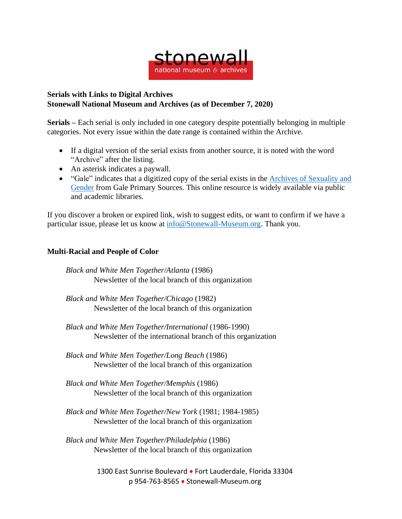

## **Serials with Links to Digital Archives Stonewall National Museum and Archives (as of December 7, 2020)**

**Serials –** Each serial is only included in one category despite potentially belonging in multiple categories. Not every issue within the date range is contained within the Archive.

- If a digital version of the serial exists from another source, it is noted with the word "Archive" after the listing.
- An asterisk indicates a paywall.
- "Gale" indicates that a digitized copy of the serial exists in the Archives of [Sexuality](https://www.gale.com/primary-sources/archives-of-sexuality-and-gender) and [Gender](https://www.gale.com/primary-sources/archives-of-sexuality-and-gender) from Gale Primary Sources. This online resource is widely available via public and academic libraries.

If you discover a broken or expired link, wish to suggest edits, or want to confirm if we have a particular issue, please let us know at [info@Stonewall-Museum.org.](mailto:info@Stonewall-Museum.org) Thank you.

## **Multi-Racial and People of Color**

*Black and White Men Together/Atlanta* (1986) Newsletter of the local branch of this organization

*Black and White Men Together/Chicago* (1982) Newsletter of the local branch of this organization

*Black and White Men Together/International* (1986-1990) Newsletter of the international branch of this organization

*Black and White Men Together/Long Beach* (1986) Newsletter of the local branch of this organization

- *Black and White Men Together/Memphis* (1986) Newsletter of the local branch of this organization
- *Black and White Men Together/New York* (1981; 1984-1985) Newsletter of the local branch of this organization

*Black and White Men Together/Philadelphia* (1986) Newsletter of the local branch of this organization

> 1300 East Sunrise Boulevard • Fort Lauderdale, Florida 33304 p 954-763-8565 • Stonewall-Museum.org